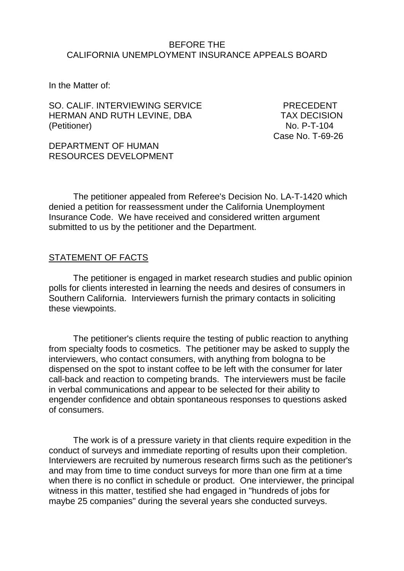#### BEFORE THE CALIFORNIA UNEMPLOYMENT INSURANCE APPEALS BOARD

In the Matter of:

SO. CALIF. INTERVIEWING SERVICE PRECEDENT HERMAN AND RUTH LEVINE, DBA TAX DECISION (Petitioner)

Case No. T-69-26

DEPARTMENT OF HUMAN RESOURCES DEVELOPMENT

The petitioner appealed from Referee's Decision No. LA-T-1420 which denied a petition for reassessment under the California Unemployment Insurance Code. We have received and considered written argument submitted to us by the petitioner and the Department.

#### STATEMENT OF FACTS

The petitioner is engaged in market research studies and public opinion polls for clients interested in learning the needs and desires of consumers in Southern California. Interviewers furnish the primary contacts in soliciting these viewpoints.

The petitioner's clients require the testing of public reaction to anything from specialty foods to cosmetics. The petitioner may be asked to supply the interviewers, who contact consumers, with anything from bologna to be dispensed on the spot to instant coffee to be left with the consumer for later call-back and reaction to competing brands. The interviewers must be facile in verbal communications and appear to be selected for their ability to engender confidence and obtain spontaneous responses to questions asked of consumers.

The work is of a pressure variety in that clients require expedition in the conduct of surveys and immediate reporting of results upon their completion. Interviewers are recruited by numerous research firms such as the petitioner's and may from time to time conduct surveys for more than one firm at a time when there is no conflict in schedule or product. One interviewer, the principal witness in this matter, testified she had engaged in "hundreds of jobs for maybe 25 companies" during the several years she conducted surveys.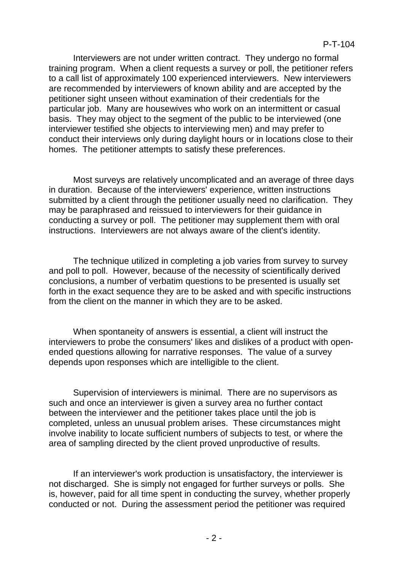Interviewers are not under written contract. They undergo no formal training program. When a client requests a survey or poll, the petitioner refers to a call list of approximately 100 experienced interviewers. New interviewers are recommended by interviewers of known ability and are accepted by the petitioner sight unseen without examination of their credentials for the particular job. Many are housewives who work on an intermittent or casual basis. They may object to the segment of the public to be interviewed (one interviewer testified she objects to interviewing men) and may prefer to conduct their interviews only during daylight hours or in locations close to their homes. The petitioner attempts to satisfy these preferences.

Most surveys are relatively uncomplicated and an average of three days in duration. Because of the interviewers' experience, written instructions submitted by a client through the petitioner usually need no clarification. They may be paraphrased and reissued to interviewers for their guidance in conducting a survey or poll. The petitioner may supplement them with oral instructions. Interviewers are not always aware of the client's identity.

The technique utilized in completing a job varies from survey to survey and poll to poll. However, because of the necessity of scientifically derived conclusions, a number of verbatim questions to be presented is usually set forth in the exact sequence they are to be asked and with specific instructions from the client on the manner in which they are to be asked.

When spontaneity of answers is essential, a client will instruct the interviewers to probe the consumers' likes and dislikes of a product with openended questions allowing for narrative responses. The value of a survey depends upon responses which are intelligible to the client.

Supervision of interviewers is minimal. There are no supervisors as such and once an interviewer is given a survey area no further contact between the interviewer and the petitioner takes place until the job is completed, unless an unusual problem arises. These circumstances might involve inability to locate sufficient numbers of subjects to test, or where the area of sampling directed by the client proved unproductive of results.

If an interviewer's work production is unsatisfactory, the interviewer is not discharged. She is simply not engaged for further surveys or polls. She is, however, paid for all time spent in conducting the survey, whether properly conducted or not. During the assessment period the petitioner was required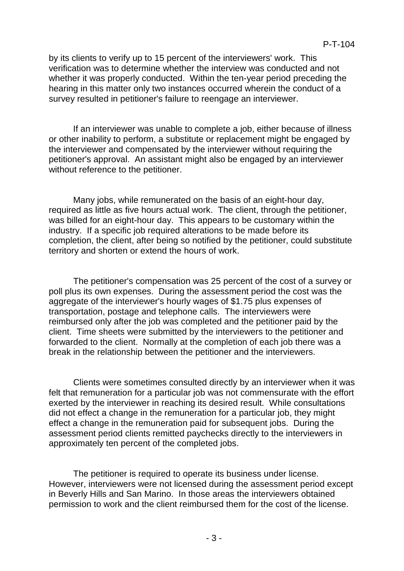by its clients to verify up to 15 percent of the interviewers' work. This verification was to determine whether the interview was conducted and not whether it was properly conducted. Within the ten-year period preceding the hearing in this matter only two instances occurred wherein the conduct of a survey resulted in petitioner's failure to reengage an interviewer.

If an interviewer was unable to complete a job, either because of illness or other inability to perform, a substitute or replacement might be engaged by the interviewer and compensated by the interviewer without requiring the petitioner's approval. An assistant might also be engaged by an interviewer without reference to the petitioner.

Many jobs, while remunerated on the basis of an eight-hour day, required as little as five hours actual work. The client, through the petitioner, was billed for an eight-hour day. This appears to be customary within the industry. If a specific job required alterations to be made before its completion, the client, after being so notified by the petitioner, could substitute territory and shorten or extend the hours of work.

The petitioner's compensation was 25 percent of the cost of a survey or poll plus its own expenses. During the assessment period the cost was the aggregate of the interviewer's hourly wages of \$1.75 plus expenses of transportation, postage and telephone calls. The interviewers were reimbursed only after the job was completed and the petitioner paid by the client. Time sheets were submitted by the interviewers to the petitioner and forwarded to the client. Normally at the completion of each job there was a break in the relationship between the petitioner and the interviewers.

Clients were sometimes consulted directly by an interviewer when it was felt that remuneration for a particular job was not commensurate with the effort exerted by the interviewer in reaching its desired result. While consultations did not effect a change in the remuneration for a particular job, they might effect a change in the remuneration paid for subsequent jobs. During the assessment period clients remitted paychecks directly to the interviewers in approximately ten percent of the completed jobs.

The petitioner is required to operate its business under license. However, interviewers were not licensed during the assessment period except in Beverly Hills and San Marino. In those areas the interviewers obtained permission to work and the client reimbursed them for the cost of the license.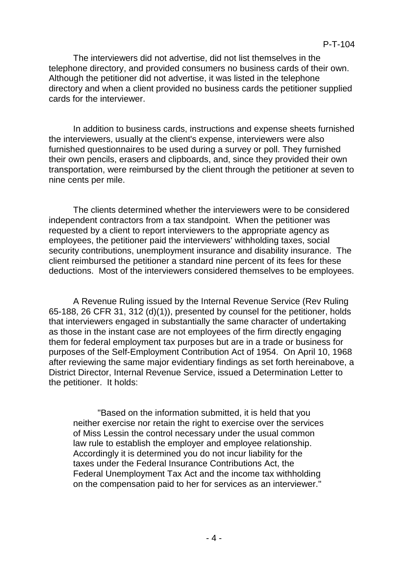The interviewers did not advertise, did not list themselves in the telephone directory, and provided consumers no business cards of their own. Although the petitioner did not advertise, it was listed in the telephone directory and when a client provided no business cards the petitioner supplied cards for the interviewer.

In addition to business cards, instructions and expense sheets furnished the interviewers, usually at the client's expense, interviewers were also furnished questionnaires to be used during a survey or poll. They furnished their own pencils, erasers and clipboards, and, since they provided their own transportation, were reimbursed by the client through the petitioner at seven to nine cents per mile.

The clients determined whether the interviewers were to be considered independent contractors from a tax standpoint. When the petitioner was requested by a client to report interviewers to the appropriate agency as employees, the petitioner paid the interviewers' withholding taxes, social security contributions, unemployment insurance and disability insurance. The client reimbursed the petitioner a standard nine percent of its fees for these deductions. Most of the interviewers considered themselves to be employees.

A Revenue Ruling issued by the Internal Revenue Service (Rev Ruling 65-188, 26 CFR 31, 312 (d)(1)), presented by counsel for the petitioner, holds that interviewers engaged in substantially the same character of undertaking as those in the instant case are not employees of the firm directly engaging them for federal employment tax purposes but are in a trade or business for purposes of the Self-Employment Contribution Act of 1954. On April 10, 1968 after reviewing the same major evidentiary findings as set forth hereinabove, a District Director, Internal Revenue Service, issued a Determination Letter to the petitioner. It holds:

"Based on the information submitted, it is held that you neither exercise nor retain the right to exercise over the services of Miss Lessin the control necessary under the usual common law rule to establish the employer and employee relationship. Accordingly it is determined you do not incur liability for the taxes under the Federal Insurance Contributions Act, the Federal Unemployment Tax Act and the income tax withholding on the compensation paid to her for services as an interviewer."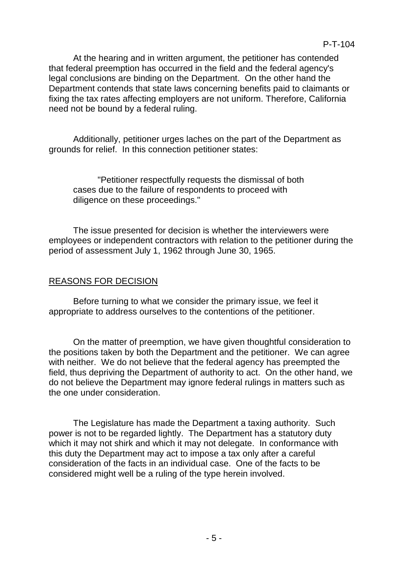At the hearing and in written argument, the petitioner has contended that federal preemption has occurred in the field and the federal agency's legal conclusions are binding on the Department. On the other hand the Department contends that state laws concerning benefits paid to claimants or fixing the tax rates affecting employers are not uniform. Therefore, California need not be bound by a federal ruling.

Additionally, petitioner urges laches on the part of the Department as grounds for relief. In this connection petitioner states:

"Petitioner respectfully requests the dismissal of both cases due to the failure of respondents to proceed with diligence on these proceedings."

The issue presented for decision is whether the interviewers were employees or independent contractors with relation to the petitioner during the period of assessment July 1, 1962 through June 30, 1965.

## REASONS FOR DECISION

Before turning to what we consider the primary issue, we feel it appropriate to address ourselves to the contentions of the petitioner.

On the matter of preemption, we have given thoughtful consideration to the positions taken by both the Department and the petitioner. We can agree with neither. We do not believe that the federal agency has preempted the field, thus depriving the Department of authority to act. On the other hand, we do not believe the Department may ignore federal rulings in matters such as the one under consideration.

The Legislature has made the Department a taxing authority. Such power is not to be regarded lightly. The Department has a statutory duty which it may not shirk and which it may not delegate. In conformance with this duty the Department may act to impose a tax only after a careful consideration of the facts in an individual case. One of the facts to be considered might well be a ruling of the type herein involved.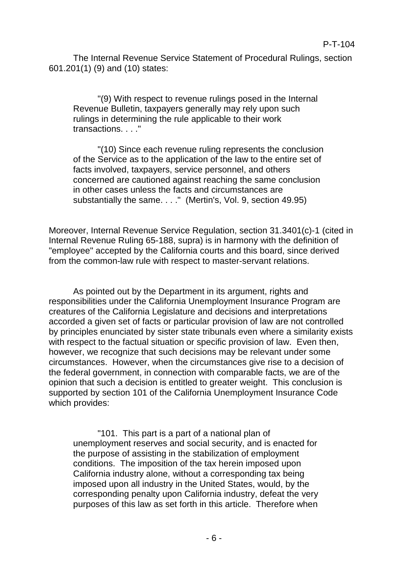The Internal Revenue Service Statement of Procedural Rulings, section 601.201(1) (9) and (10) states:

"(9) With respect to revenue rulings posed in the Internal Revenue Bulletin, taxpayers generally may rely upon such rulings in determining the rule applicable to their work transactions. . . ."

"(10) Since each revenue ruling represents the conclusion of the Service as to the application of the law to the entire set of facts involved, taxpayers, service personnel, and others concerned are cautioned against reaching the same conclusion in other cases unless the facts and circumstances are substantially the same. . . ." (Mertin's, Vol. 9, section 49.95)

Moreover, Internal Revenue Service Regulation, section 31.3401(c)-1 (cited in Internal Revenue Ruling 65-188, supra) is in harmony with the definition of "employee" accepted by the California courts and this board, since derived from the common-law rule with respect to master-servant relations.

As pointed out by the Department in its argument, rights and responsibilities under the California Unemployment Insurance Program are creatures of the California Legislature and decisions and interpretations accorded a given set of facts or particular provision of law are not controlled by principles enunciated by sister state tribunals even where a similarity exists with respect to the factual situation or specific provision of law. Even then, however, we recognize that such decisions may be relevant under some circumstances. However, when the circumstances give rise to a decision of the federal government, in connection with comparable facts, we are of the opinion that such a decision is entitled to greater weight. This conclusion is supported by section 101 of the California Unemployment Insurance Code which provides:

"101. This part is a part of a national plan of unemployment reserves and social security, and is enacted for the purpose of assisting in the stabilization of employment conditions. The imposition of the tax herein imposed upon California industry alone, without a corresponding tax being imposed upon all industry in the United States, would, by the corresponding penalty upon California industry, defeat the very purposes of this law as set forth in this article. Therefore when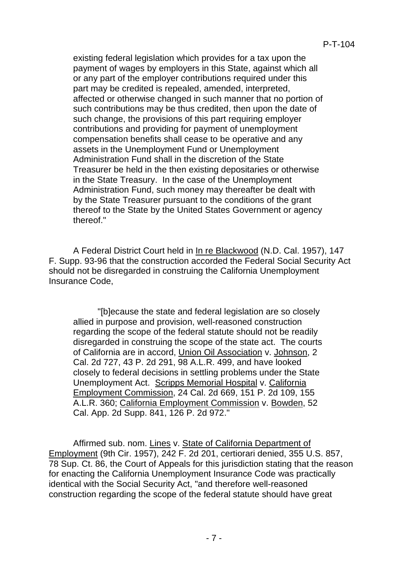existing federal legislation which provides for a tax upon the payment of wages by employers in this State, against which all or any part of the employer contributions required under this part may be credited is repealed, amended, interpreted, affected or otherwise changed in such manner that no portion of such contributions may be thus credited, then upon the date of such change, the provisions of this part requiring employer contributions and providing for payment of unemployment compensation benefits shall cease to be operative and any assets in the Unemployment Fund or Unemployment Administration Fund shall in the discretion of the State Treasurer be held in the then existing depositaries or otherwise in the State Treasury. In the case of the Unemployment Administration Fund, such money may thereafter be dealt with by the State Treasurer pursuant to the conditions of the grant thereof to the State by the United States Government or agency thereof."

A Federal District Court held in In re Blackwood (N.D. Cal. 1957), 147 F. Supp. 93-96 that the construction accorded the Federal Social Security Act should not be disregarded in construing the California Unemployment Insurance Code,

"[b]ecause the state and federal legislation are so closely allied in purpose and provision, well-reasoned construction regarding the scope of the federal statute should not be readily disregarded in construing the scope of the state act. The courts of California are in accord, Union Oil Association v. Johnson, 2 Cal. 2d 727, 43 P. 2d 291, 98 A.L.R. 499, and have looked closely to federal decisions in settling problems under the State Unemployment Act. Scripps Memorial Hospital v. California Employment Commission, 24 Cal. 2d 669, 151 P. 2d 109, 155 A.L.R. 360; California Employment Commission v. Bowden, 52 Cal. App. 2d Supp. 841, 126 P. 2d 972."

Affirmed sub. nom. Lines v. State of California Department of Employment (9th Cir. 1957), 242 F. 2d 201, certiorari denied, 355 U.S. 857, 78 Sup. Ct. 86, the Court of Appeals for this jurisdiction stating that the reason for enacting the California Unemployment Insurance Code was practically identical with the Social Security Act, "and therefore well-reasoned construction regarding the scope of the federal statute should have great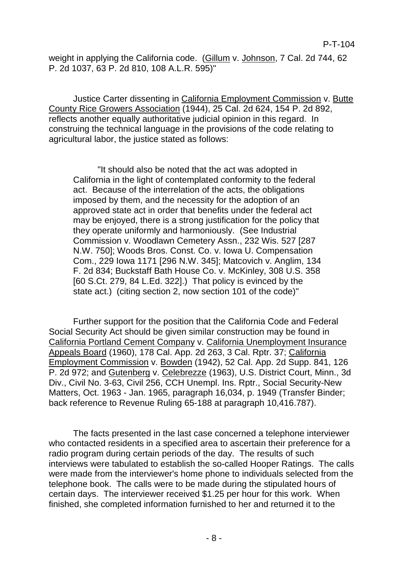weight in applying the California code. (Gillum v. Johnson, 7 Cal. 2d 744, 62 P. 2d 1037, 63 P. 2d 810, 108 A.L.R. 595)"

Justice Carter dissenting in California Employment Commission v. Butte County Rice Growers Association (1944), 25 Cal. 2d 624, 154 P. 2d 892, reflects another equally authoritative judicial opinion in this regard. In construing the technical language in the provisions of the code relating to agricultural labor, the justice stated as follows:

"It should also be noted that the act was adopted in California in the light of contemplated conformity to the federal act. Because of the interrelation of the acts, the obligations imposed by them, and the necessity for the adoption of an approved state act in order that benefits under the federal act may be enjoyed, there is a strong justification for the policy that they operate uniformly and harmoniously. (See Industrial Commission v. Woodlawn Cemetery Assn., 232 Wis. 527 [287 N.W. 750]; Woods Bros. Const. Co. v. Iowa U. Compensation Com., 229 Iowa 1171 [296 N.W. 345]; Matcovich v. Anglim, 134 F. 2d 834; Buckstaff Bath House Co. v. McKinley, 308 U.S. 358 [60 S.Ct. 279, 84 L.Ed. 322].) That policy is evinced by the state act.) (citing section 2, now section 101 of the code)"

Further support for the position that the California Code and Federal Social Security Act should be given similar construction may be found in California Portland Cement Company v. California Unemployment Insurance Appeals Board (1960), 178 Cal. App. 2d 263, 3 Cal. Rptr. 37; California Employment Commission v. Bowden (1942), 52 Cal. App. 2d Supp. 841, 126 P. 2d 972; and Gutenberg v. Celebrezze (1963), U.S. District Court, Minn., 3d Div., Civil No. 3-63, Civil 256, CCH Unempl. Ins. Rptr., Social Security-New Matters, Oct. 1963 - Jan. 1965, paragraph 16,034, p. 1949 (Transfer Binder; back reference to Revenue Ruling 65-188 at paragraph 10,416.787).

The facts presented in the last case concerned a telephone interviewer who contacted residents in a specified area to ascertain their preference for a radio program during certain periods of the day. The results of such interviews were tabulated to establish the so-called Hooper Ratings. The calls were made from the interviewer's home phone to individuals selected from the telephone book. The calls were to be made during the stipulated hours of certain days. The interviewer received \$1.25 per hour for this work. When finished, she completed information furnished to her and returned it to the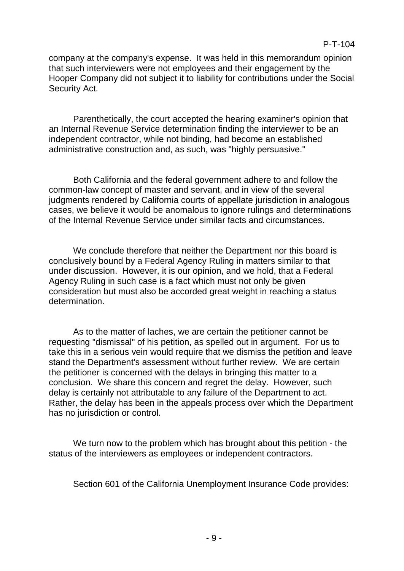company at the company's expense. It was held in this memorandum opinion that such interviewers were not employees and their engagement by the Hooper Company did not subject it to liability for contributions under the Social Security Act.

Parenthetically, the court accepted the hearing examiner's opinion that an Internal Revenue Service determination finding the interviewer to be an independent contractor, while not binding, had become an established administrative construction and, as such, was "highly persuasive."

Both California and the federal government adhere to and follow the common-law concept of master and servant, and in view of the several judgments rendered by California courts of appellate jurisdiction in analogous cases, we believe it would be anomalous to ignore rulings and determinations of the Internal Revenue Service under similar facts and circumstances.

We conclude therefore that neither the Department nor this board is conclusively bound by a Federal Agency Ruling in matters similar to that under discussion. However, it is our opinion, and we hold, that a Federal Agency Ruling in such case is a fact which must not only be given consideration but must also be accorded great weight in reaching a status determination.

As to the matter of laches, we are certain the petitioner cannot be requesting "dismissal" of his petition, as spelled out in argument. For us to take this in a serious vein would require that we dismiss the petition and leave stand the Department's assessment without further review. We are certain the petitioner is concerned with the delays in bringing this matter to a conclusion. We share this concern and regret the delay. However, such delay is certainly not attributable to any failure of the Department to act. Rather, the delay has been in the appeals process over which the Department has no jurisdiction or control.

We turn now to the problem which has brought about this petition - the status of the interviewers as employees or independent contractors.

Section 601 of the California Unemployment Insurance Code provides: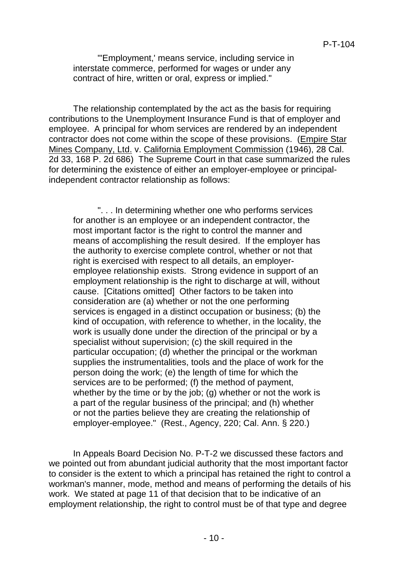"'Employment,' means service, including service in interstate commerce, performed for wages or under any contract of hire, written or oral, express or implied."

The relationship contemplated by the act as the basis for requiring contributions to the Unemployment Insurance Fund is that of employer and employee. A principal for whom services are rendered by an independent contractor does not come within the scope of these provisions. (Empire Star Mines Company, Ltd. v. California Employment Commission (1946), 28 Cal. 2d 33, 168 P. 2d 686) The Supreme Court in that case summarized the rules for determining the existence of either an employer-employee or principalindependent contractor relationship as follows:

". . . In determining whether one who performs services for another is an employee or an independent contractor, the most important factor is the right to control the manner and means of accomplishing the result desired. If the employer has the authority to exercise complete control, whether or not that right is exercised with respect to all details, an employeremployee relationship exists. Strong evidence in support of an employment relationship is the right to discharge at will, without cause. [Citations omitted] Other factors to be taken into consideration are (a) whether or not the one performing services is engaged in a distinct occupation or business; (b) the kind of occupation, with reference to whether, in the locality, the work is usually done under the direction of the principal or by a specialist without supervision; (c) the skill required in the particular occupation; (d) whether the principal or the workman supplies the instrumentalities, tools and the place of work for the person doing the work; (e) the length of time for which the services are to be performed; (f) the method of payment, whether by the time or by the job; (g) whether or not the work is a part of the regular business of the principal; and (h) whether or not the parties believe they are creating the relationship of employer-employee." (Rest., Agency, 220; Cal. Ann. § 220.)

In Appeals Board Decision No. P-T-2 we discussed these factors and we pointed out from abundant judicial authority that the most important factor to consider is the extent to which a principal has retained the right to control a workman's manner, mode, method and means of performing the details of his work. We stated at page 11 of that decision that to be indicative of an employment relationship, the right to control must be of that type and degree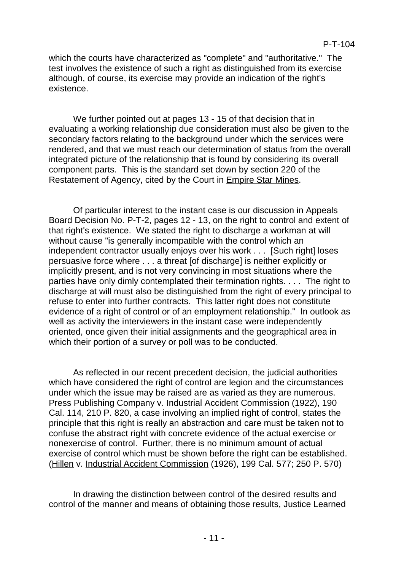which the courts have characterized as "complete" and "authoritative." The test involves the existence of such a right as distinguished from its exercise although, of course, its exercise may provide an indication of the right's existence.

We further pointed out at pages 13 - 15 of that decision that in evaluating a working relationship due consideration must also be given to the secondary factors relating to the background under which the services were rendered, and that we must reach our determination of status from the overall integrated picture of the relationship that is found by considering its overall component parts. This is the standard set down by section 220 of the Restatement of Agency, cited by the Court in Empire Star Mines.

Of particular interest to the instant case is our discussion in Appeals Board Decision No. P-T-2, pages 12 - 13, on the right to control and extent of that right's existence. We stated the right to discharge a workman at will without cause "is generally incompatible with the control which an independent contractor usually enjoys over his work . . . [Such right] loses persuasive force where . . . a threat [of discharge] is neither explicitly or implicitly present, and is not very convincing in most situations where the parties have only dimly contemplated their termination rights. . . . The right to discharge at will must also be distinguished from the right of every principal to refuse to enter into further contracts. This latter right does not constitute evidence of a right of control or of an employment relationship." In outlook as well as activity the interviewers in the instant case were independently oriented, once given their initial assignments and the geographical area in which their portion of a survey or poll was to be conducted.

As reflected in our recent precedent decision, the judicial authorities which have considered the right of control are legion and the circumstances under which the issue may be raised are as varied as they are numerous. Press Publishing Company v. Industrial Accident Commission (1922), 190 Cal. 114, 210 P. 820, a case involving an implied right of control, states the principle that this right is really an abstraction and care must be taken not to confuse the abstract right with concrete evidence of the actual exercise or nonexercise of control. Further, there is no minimum amount of actual exercise of control which must be shown before the right can be established. (Hillen v. Industrial Accident Commission (1926), 199 Cal. 577; 250 P. 570)

In drawing the distinction between control of the desired results and control of the manner and means of obtaining those results, Justice Learned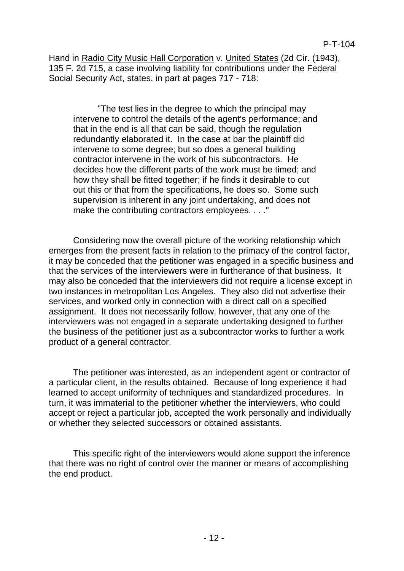Hand in Radio City Music Hall Corporation v. United States (2d Cir. (1943), 135 F. 2d 715, a case involving liability for contributions under the Federal Social Security Act, states, in part at pages 717 - 718:

"The test lies in the degree to which the principal may intervene to control the details of the agent's performance; and that in the end is all that can be said, though the regulation redundantly elaborated it. In the case at bar the plaintiff did intervene to some degree; but so does a general building contractor intervene in the work of his subcontractors. He decides how the different parts of the work must be timed; and how they shall be fitted together; if he finds it desirable to cut out this or that from the specifications, he does so. Some such supervision is inherent in any joint undertaking, and does not make the contributing contractors employees. . . ."

Considering now the overall picture of the working relationship which emerges from the present facts in relation to the primacy of the control factor, it may be conceded that the petitioner was engaged in a specific business and that the services of the interviewers were in furtherance of that business. It may also be conceded that the interviewers did not require a license except in two instances in metropolitan Los Angeles. They also did not advertise their services, and worked only in connection with a direct call on a specified assignment. It does not necessarily follow, however, that any one of the interviewers was not engaged in a separate undertaking designed to further the business of the petitioner just as a subcontractor works to further a work product of a general contractor.

The petitioner was interested, as an independent agent or contractor of a particular client, in the results obtained. Because of long experience it had learned to accept uniformity of techniques and standardized procedures. In turn, it was immaterial to the petitioner whether the interviewers, who could accept or reject a particular job, accepted the work personally and individually or whether they selected successors or obtained assistants.

This specific right of the interviewers would alone support the inference that there was no right of control over the manner or means of accomplishing the end product.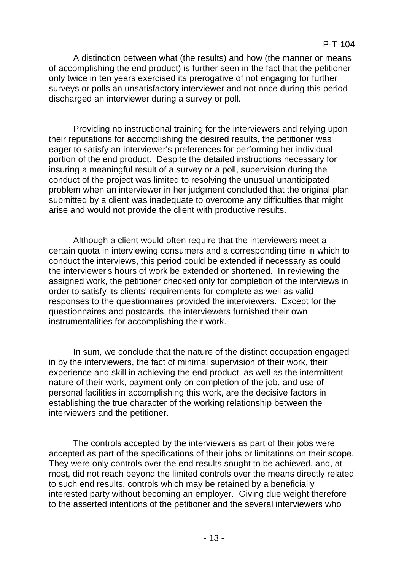A distinction between what (the results) and how (the manner or means of accomplishing the end product) is further seen in the fact that the petitioner only twice in ten years exercised its prerogative of not engaging for further surveys or polls an unsatisfactory interviewer and not once during this period discharged an interviewer during a survey or poll.

Providing no instructional training for the interviewers and relying upon their reputations for accomplishing the desired results, the petitioner was eager to satisfy an interviewer's preferences for performing her individual portion of the end product. Despite the detailed instructions necessary for insuring a meaningful result of a survey or a poll, supervision during the conduct of the project was limited to resolving the unusual unanticipated problem when an interviewer in her judgment concluded that the original plan submitted by a client was inadequate to overcome any difficulties that might arise and would not provide the client with productive results.

Although a client would often require that the interviewers meet a certain quota in interviewing consumers and a corresponding time in which to conduct the interviews, this period could be extended if necessary as could the interviewer's hours of work be extended or shortened. In reviewing the assigned work, the petitioner checked only for completion of the interviews in order to satisfy its clients' requirements for complete as well as valid responses to the questionnaires provided the interviewers. Except for the questionnaires and postcards, the interviewers furnished their own instrumentalities for accomplishing their work.

In sum, we conclude that the nature of the distinct occupation engaged in by the interviewers, the fact of minimal supervision of their work, their experience and skill in achieving the end product, as well as the intermittent nature of their work, payment only on completion of the job, and use of personal facilities in accomplishing this work, are the decisive factors in establishing the true character of the working relationship between the interviewers and the petitioner.

The controls accepted by the interviewers as part of their jobs were accepted as part of the specifications of their jobs or limitations on their scope. They were only controls over the end results sought to be achieved, and, at most, did not reach beyond the limited controls over the means directly related to such end results, controls which may be retained by a beneficially interested party without becoming an employer. Giving due weight therefore to the asserted intentions of the petitioner and the several interviewers who